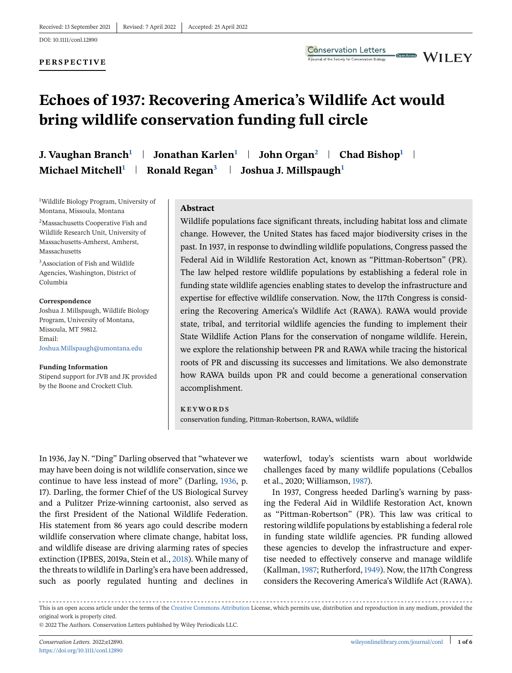#### **PERSPECTIVE**



Open Access

# **Echoes of 1937: Recovering America's Wildlife Act would bring wildlife conservation funding full circle**

**J. Vaughan Branch<sup>1</sup> | Jonathan Karlen<sup>1</sup> | John Organ<sup>2</sup> | Chad Bishop<sup>1</sup> | Michael Mitchell1 Ronald Regan<sup>3</sup> Joshua J. Millspaugh<sup>1</sup>**

1 Wildlife Biology Program, University of Montana, Missoula, Montana

<sup>2</sup>Massachusetts Cooperative Fish and Wildlife Research Unit, University of Massachusetts-Amherst, Amherst, Massachusetts

3Association of Fish and Wildlife Agencies, Washington, District of Columbia

#### **Correspondence**

Joshua J. Millspaugh, Wildlife Biology Program, University of Montana, Missoula, MT 59812. Email: [Joshua.Millspaugh@umontana.edu](mailto:Joshua.Millspaugh@umontana.edu)

#### **Funding Information**

Stipend support for JVB and JK provided by the Boone and Crockett Club.

#### **Abstract**

Wildlife populations face significant threats, including habitat loss and climate change. However, the United States has faced major biodiversity crises in the past. In 1937, in response to dwindling wildlife populations, Congress passed the Federal Aid in Wildlife Restoration Act, known as "Pittman-Robertson" (PR). The law helped restore wildlife populations by establishing a federal role in funding state wildlife agencies enabling states to develop the infrastructure and expertise for effective wildlife conservation. Now, the 117th Congress is considering the Recovering America's Wildlife Act (RAWA). RAWA would provide state, tribal, and territorial wildlife agencies the funding to implement their State Wildlife Action Plans for the conservation of nongame wildlife. Herein, we explore the relationship between PR and RAWA while tracing the historical roots of PR and discussing its successes and limitations. We also demonstrate how RAWA builds upon PR and could become a generational conservation accomplishment.

#### **KEYWORDS**

conservation funding, Pittman-Robertson, RAWA, wildlife

In 1936, Jay N. "Ding" Darling observed that "whatever we may have been doing is not wildlife conservation, since we continue to have less instead of more" (Darling, [1936,](#page-4-0) p. 17). Darling, the former Chief of the US Biological Survey and a Pulitzer Prize-winning cartoonist, also served as the first President of the National Wildlife Federation. His statement from 86 years ago could describe modern wildlife conservation where climate change, habitat loss, and wildlife disease are driving alarming rates of species extinction (IPBES, 2019a, Stein et al., [2018\)](#page-5-0). While many of the threats to wildlife in Darling's era have been addressed, such as poorly regulated hunting and declines in

waterfowl, today's scientists warn about worldwide challenges faced by many wildlife populations (Ceballos et al., 2020; Williamson, [1987\)](#page-5-0).

In 1937, Congress heeded Darling's warning by passing the Federal Aid in Wildlife Restoration Act, known as "Pittman-Robertson" (PR). This law was critical to restoring wildlife populations by establishing a federal role in funding state wildlife agencies. PR funding allowed these agencies to develop the infrastructure and expertise needed to effectively conserve and manage wildlife (Kallman,[1987;](#page-4-0) Rutherford,[1949\)](#page-5-0). Now, the 117th Congress considers the Recovering America's Wildlife Act (RAWA).

This is an open access article under the terms of the [Creative Commons Attribution](http://creativecommons.org/licenses/by/4.0/) License, which permits use, distribution and reproduction in any medium, provided the original work is properly cited.

<sup>© 2022</sup> The Authors. Conservation Letters published by Wiley Periodicals LLC.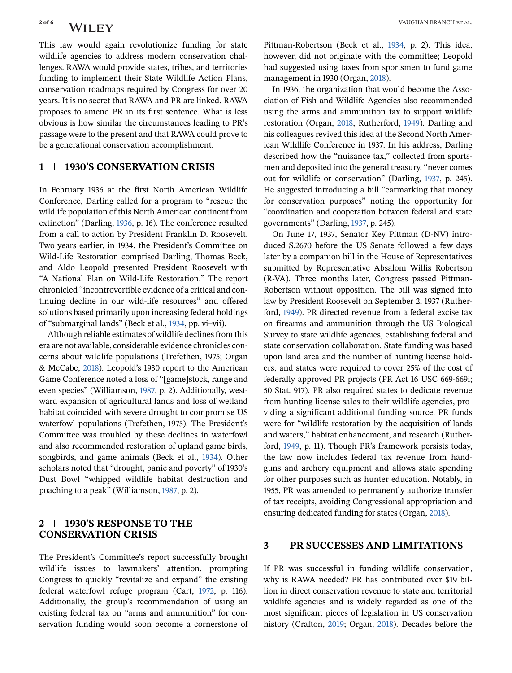This law would again revolutionize funding for state wildlife agencies to address modern conservation challenges. RAWA would provide states, tribes, and territories funding to implement their State Wildlife Action Plans, conservation roadmaps required by Congress for over 20 years. It is no secret that RAWA and PR are linked. RAWA proposes to amend PR in its first sentence. What is less obvious is how similar the circumstances leading to PR's passage were to the present and that RAWA could prove to be a generational conservation accomplishment.

## **1 1930'S CONSERVATION CRISIS**

In February 1936 at the first North American Wildlife Conference, Darling called for a program to "rescue the wildlife population of this North American continent from extinction" (Darling, [1936,](#page-4-0) p. 16). The conference resulted from a call to action by President Franklin D. Roosevelt. Two years earlier, in 1934, the President's Committee on Wild-Life Restoration comprised Darling, Thomas Beck, and Aldo Leopold presented President Roosevelt with "A National Plan on Wild-Life Restoration." The report chronicled "incontrovertible evidence of a critical and continuing decline in our wild-life resources" and offered solutions based primarily upon increasing federal holdings of "submarginal lands" (Beck et al., [1934,](#page-4-0) pp. vi–vii).

Although reliable estimates of wildlife declines from this era are not available, considerable evidence chronicles concerns about wildlife populations (Trefethen, 1975; Organ & McCabe, [2018\)](#page-5-0). Leopold's 1930 report to the American Game Conference noted a loss of "[game]stock, range and even species" (Williamson, [1987,](#page-5-0) p. 2). Additionally, westward expansion of agricultural lands and loss of wetland habitat coincided with severe drought to compromise US waterfowl populations (Trefethen, 1975). The President's Committee was troubled by these declines in waterfowl and also recommended restoration of upland game birds, songbirds, and game animals (Beck et al., [1934\)](#page-4-0). Other scholars noted that "drought, panic and poverty" of 1930's Dust Bowl "whipped wildlife habitat destruction and poaching to a peak" (Williamson, [1987,](#page-5-0) p. 2).

## **2 1930'S RESPONSE TO THE CONSERVATION CRISIS**

The President's Committee's report successfully brought wildlife issues to lawmakers' attention, prompting Congress to quickly "revitalize and expand" the existing federal waterfowl refuge program (Cart, [1972,](#page-4-0) p. 116). Additionally, the group's recommendation of using an existing federal tax on "arms and ammunition" for conservation funding would soon become a cornerstone of Pittman-Robertson (Beck et al., [1934,](#page-4-0) p. 2). This idea, however, did not originate with the committee; Leopold had suggested using taxes from sportsmen to fund game management in 1930 (Organ, [2018\)](#page-4-0).

In 1936, the organization that would become the Association of Fish and Wildlife Agencies also recommended using the arms and ammunition tax to support wildlife restoration (Organ, [2018;](#page-4-0) Rutherford, [1949\)](#page-5-0). Darling and his colleagues revived this idea at the Second North American Wildlife Conference in 1937. In his address, Darling described how the "nuisance tax," collected from sportsmen and deposited into the general treasury, "never comes out for wildlife or conservation" (Darling, [1937,](#page-4-0) p. 245). He suggested introducing a bill "earmarking that money for conservation purposes" noting the opportunity for "coordination and cooperation between federal and state governments" (Darling, [1937,](#page-4-0) p. 245).

On June 17, 1937, Senator Key Pittman (D-NV) introduced S.2670 before the US Senate followed a few days later by a companion bill in the House of Representatives submitted by Representative Absalom Willis Robertson (R-VA). Three months later, Congress passed Pittman-Robertson without opposition. The bill was signed into law by President Roosevelt on September 2, 1937 (Rutherford, [1949\)](#page-5-0). PR directed revenue from a federal excise tax on firearms and ammunition through the US Biological Survey to state wildlife agencies, establishing federal and state conservation collaboration. State funding was based upon land area and the number of hunting license holders, and states were required to cover 25% of the cost of federally approved PR projects (PR Act 16 USC 669-669i; 50 Stat. 917). PR also required states to dedicate revenue from hunting license sales to their wildlife agencies, providing a significant additional funding source. PR funds were for "wildlife restoration by the acquisition of lands and waters," habitat enhancement, and research (Rutherford, [1949,](#page-5-0) p. 11). Though PR's framework persists today, the law now includes federal tax revenue from handguns and archery equipment and allows state spending for other purposes such as hunter education. Notably, in 1955, PR was amended to permanently authorize transfer of tax receipts, avoiding Congressional appropriation and ensuring dedicated funding for states (Organ, [2018\)](#page-4-0).

## **3 PR SUCCESSES AND LIMITATIONS**

If PR was successful in funding wildlife conservation, why is RAWA needed? PR has contributed over \$19 billion in direct conservation revenue to state and territorial wildlife agencies and is widely regarded as one of the most significant pieces of legislation in US conservation history (Crafton, [2019;](#page-4-0) Organ, [2018\)](#page-4-0). Decades before the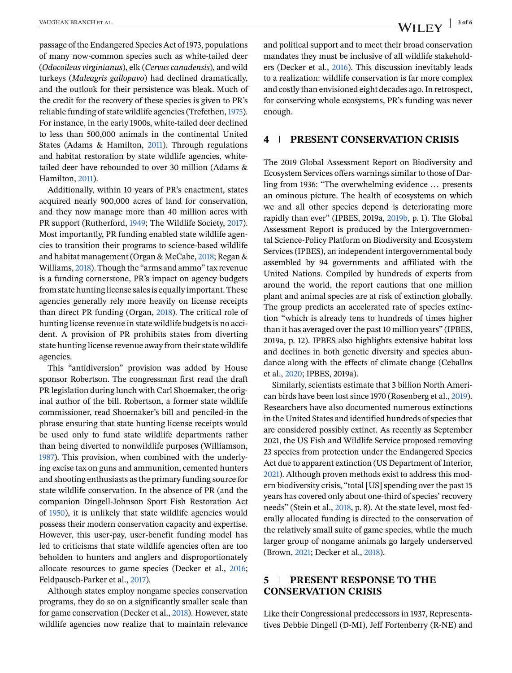passage of the Endangered Species Act of 1973, populations of many now-common species such as white-tailed deer (*Odocoileus virginianus*), elk (*Cervus canadensis*), and wild turkeys (*Maleagris gallopavo*) had declined dramatically, and the outlook for their persistence was bleak. Much of the credit for the recovery of these species is given to PR's reliable funding of state wildlife agencies (Trefethen, [1975\)](#page-5-0). For instance, in the early 1900s, white-tailed deer declined to less than 500,000 animals in the continental United States (Adams & Hamilton, [2011\)](#page-4-0). Through regulations and habitat restoration by state wildlife agencies, whitetailed deer have rebounded to over 30 million (Adams & Hamilton, [2011\)](#page-4-0).

Additionally, within 10 years of PR's enactment, states acquired nearly 900,000 acres of land for conservation, and they now manage more than 40 million acres with PR support (Rutherford, [1949;](#page-5-0) The Wildlife Society, [2017\)](#page-5-0). Most importantly, PR funding enabled state wildlife agencies to transition their programs to science-based wildlife and habitat management (Organ & McCabe, [2018;](#page-5-0) Regan & Williams, [2018\)](#page-5-0). Though the "arms and ammo" tax revenue is a funding cornerstone, PR's impact on agency budgets from state hunting license sales is equally important. These agencies generally rely more heavily on license receipts than direct PR funding (Organ, [2018\)](#page-4-0). The critical role of hunting license revenue in state wildlife budgets is no accident. A provision of PR prohibits states from diverting state hunting license revenue away from their state wildlife agencies.

This "antidiversion" provision was added by House sponsor Robertson. The congressman first read the draft PR legislation during lunch with Carl Shoemaker, the original author of the bill. Robertson, a former state wildlife commissioner, read Shoemaker's bill and penciled-in the phrase ensuring that state hunting license receipts would be used only to fund state wildlife departments rather than being diverted to nonwildlife purposes (Williamson, [1987\)](#page-5-0). This provision, when combined with the underlying excise tax on guns and ammunition, cemented hunters and shooting enthusiasts as the primary funding source for state wildlife conservation. In the absence of PR (and the companion Dingell-Johnson Sport Fish Restoration Act of [1950\)](#page-4-0), it is unlikely that state wildlife agencies would possess their modern conservation capacity and expertise. However, this user-pay, user-benefit funding model has led to criticisms that state wildlife agencies often are too beholden to hunters and anglers and disproportionately allocate resources to game species (Decker et al., [2016;](#page-4-0) Feldpausch-Parker et al., [2017\)](#page-4-0).

Although states employ nongame species conservation programs, they do so on a significantly smaller scale than for game conservation (Decker et al., [2018\)](#page-4-0). However, state wildlife agencies now realize that to maintain relevance and political support and to meet their broad conservation mandates they must be inclusive of all wildlife stakeholders (Decker et al., [2016\)](#page-4-0). This discussion inevitably leads to a realization: wildlife conservation is far more complex and costly than envisioned eight decades ago. In retrospect, for conserving whole ecosystems, PR's funding was never enough.

#### **4 PRESENT CONSERVATION CRISIS**

The 2019 Global Assessment Report on Biodiversity and Ecosystem Services offers warnings similar to those of Darling from 1936: "The overwhelming evidence ... presents an ominous picture. The health of ecosystems on which we and all other species depend is deteriorating more rapidly than ever" (IPBES, 2019a, [2019b,](#page-4-0) p. 1). The Global Assessment Report is produced by the Intergovernmental Science-Policy Platform on Biodiversity and Ecosystem Services (IPBES), an independent intergovernmental body assembled by 94 governments and affiliated with the United Nations. Compiled by hundreds of experts from around the world, the report cautions that one million plant and animal species are at risk of extinction globally. The group predicts an accelerated rate of species extinction "which is already tens to hundreds of times higher than it has averaged over the past 10 million years" (IPBES, 2019a, p. 12). IPBES also highlights extensive habitat loss and declines in both genetic diversity and species abundance along with the effects of climate change (Ceballos et al., [2020;](#page-4-0) IPBES, 2019a).

Similarly, scientists estimate that 3 billion North American birds have been lost since 1970 (Rosenberg et al., [2019\)](#page-5-0). Researchers have also documented numerous extinctions in the United States and identified hundreds of species that are considered possibly extinct. As recently as September 2021, the US Fish and Wildlife Service proposed removing 23 species from protection under the Endangered Species Act due to apparent extinction (US Department of Interior, [2021\)](#page-5-0). Although proven methods exist to address this modern biodiversity crisis, "total [US] spending over the past 15 years has covered only about one-third of species' recovery needs" (Stein et al., [2018,](#page-5-0) p. 8). At the state level, most federally allocated funding is directed to the conservation of the relatively small suite of game species, while the much larger group of nongame animals go largely underserved (Brown, [2021;](#page-4-0) Decker et al., [2018\)](#page-4-0).

## **5 PRESENT RESPONSE TO THE CONSERVATION CRISIS**

Like their Congressional predecessors in 1937, Representatives Debbie Dingell (D-MI), Jeff Fortenberry (R-NE) and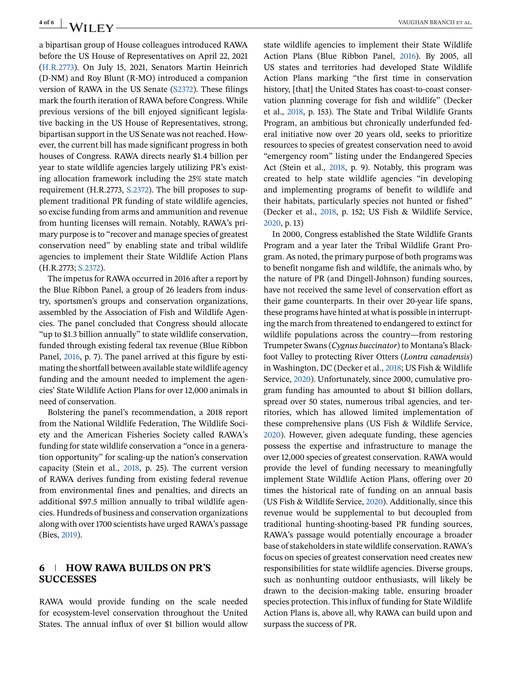a bipartisan group of House colleagues introduced RAWA before the US House of Representatives on April 22, 2021 [\(H.R.2773\)](#page-4-0). On July 15, 2021, Senators Martin Heinrich (D-NM) and Roy Blunt (R-MO) introduced a companion version of RAWA in the US Senate [\(S2372\)](#page-5-0). These filings mark the fourth iteration of RAWA before Congress. While previous versions of the bill enjoyed significant legislative backing in the US House of Representatives, strong, bipartisan support in the US Senate was not reached. However, the current bill has made significant progress in both houses of Congress. RAWA directs nearly \$1.4 billion per year to state wildlife agencies largely utilizing PR's existing allocation framework including the 25% state match requirement (H.R.2773, [S.2372\)](#page-5-0). The bill proposes to supplement traditional PR funding of state wildlife agencies, so excise funding from arms and ammunition and revenue from hunting licenses will remain. Notably, RAWA's primary purpose is to "recover and manage species of greatest conservation need" by enabling state and tribal wildlife agencies to implement their State Wildlife Action Plans (H.R.2773; [S.2372\)](#page-5-0).

The impetus for RAWA occurred in 2016 after a report by the Blue Ribbon Panel, a group of 26 leaders from industry, sportsmen's groups and conservation organizations, assembled by the Association of Fish and Wildlife Agencies. The panel concluded that Congress should allocate "up to \$1.3 billion annually" to state wildlife conservation, funded through existing federal tax revenue (Blue Ribbon Panel, [2016,](#page-4-0) p. 7). The panel arrived at this figure by estimating the shortfall between available state wildlife agency funding and the amount needed to implement the agencies' State Wildlife Action Plans for over 12,000 animals in need of conservation.

Bolstering the panel's recommendation, a 2018 report from the National Wildlife Federation, The Wildlife Society and the American Fisheries Society called RAWA's funding for state wildlife conservation a "once in a generation opportunity" for scaling-up the nation's conservation capacity (Stein et al., [2018,](#page-5-0) p. 25). The current version of RAWA derives funding from existing federal revenue from environmental fines and penalties, and directs an additional \$97.5 million annually to tribal wildlife agencies. Hundreds of business and conservation organizations along with over 1700 scientists have urged RAWA's passage (Bies, [2019\)](#page-4-0).

## **6 HOW RAWA BUILDS ON PR'S SUCCESSES**

RAWA would provide funding on the scale needed for ecosystem-level conservation throughout the United States. The annual influx of over \$1 billion would allow state wildlife agencies to implement their State Wildlife Action Plans (Blue Ribbon Panel, [2016\)](#page-4-0). By 2005, all US states and territories had developed State Wildlife Action Plans marking "the first time in conservation history, [that] the United States has coast-to-coast conservation planning coverage for fish and wildlife" (Decker et al., [2018,](#page-4-0) p. 153). The State and Tribal Wildlife Grants Program, an ambitious but chronically underfunded federal initiative now over 20 years old, seeks to prioritize resources to species of greatest conservation need to avoid "emergency room" listing under the Endangered Species Act (Stein et al., [2018,](#page-5-0) p. 9). Notably, this program was created to help state wildlife agencies "in developing and implementing programs of benefit to wildlife and their habitats, particularly species not hunted or fished" (Decker et al., [2018,](#page-4-0) p. 152; US Fish & Wildlife Service, [2020,](#page-5-0) p. 13)

In 2000, Congress established the State Wildlife Grants Program and a year later the Tribal Wildlife Grant Program. As noted, the primary purpose of both programs was to benefit nongame fish and wildlife, the animals who, by the nature of PR (and Dingell-Johnson) funding sources, have not received the same level of conservation effort as their game counterparts. In their over 20-year life spans, these programs have hinted at what is possible in interrupting the march from threatened to endangered to extinct for wildlife populations across the country—from restoring Trumpeter Swans (*Cygnus buccinator*) to Montana's Blackfoot Valley to protecting River Otters (*Lontra canadensis*) in Washington, DC (Decker et al., [2018;](#page-4-0) US Fish & Wildlife Service, [2020\)](#page-5-0). Unfortunately, since 2000, cumulative program funding has amounted to about \$1 billion dollars, spread over 50 states, numerous tribal agencies, and territories, which has allowed limited implementation of these comprehensive plans (US Fish & Wildlife Service, [2020\)](#page-5-0). However, given adequate funding, these agencies possess the expertise and infrastructure to manage the over 12,000 species of greatest conservation. RAWA would provide the level of funding necessary to meaningfully implement State Wildlife Action Plans, offering over 20 times the historical rate of funding on an annual basis (US Fish & Wildlife Service, [2020\)](#page-5-0). Additionally, since this revenue would be supplemental to but decoupled from traditional hunting-shooting-based PR funding sources, RAWA's passage would potentially encourage a broader base of stakeholders in state wildlife conservation. RAWA's focus on species of greatest conservation need creates new responsibilities for state wildlife agencies. Diverse groups, such as nonhunting outdoor enthusiasts, will likely be drawn to the decision-making table, ensuring broader species protection. This influx of funding for State Wildlife Action Plans is, above all, why RAWA can build upon and surpass the success of PR.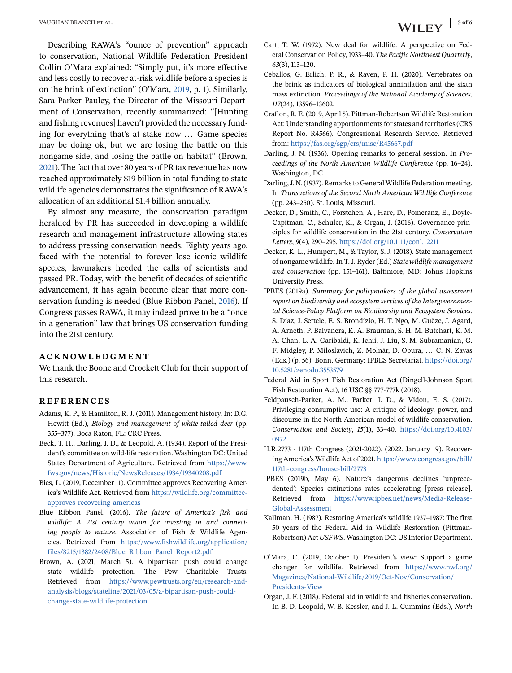<span id="page-4-0"></span>Describing RAWA's "ounce of prevention" approach to conservation, National Wildlife Federation President Collin O'Mara explained: "Simply put, it's more effective and less costly to recover at-risk wildlife before a species is on the brink of extinction" (O'Mara, 2019, p. 1). Similarly, Sara Parker Pauley, the Director of the Missouri Department of Conservation, recently summarized: "[Hunting and fishing revenues] haven't provided the necessary funding for everything that's at stake now ... Game species may be doing ok, but we are losing the battle on this nongame side, and losing the battle on habitat" (Brown, 2021). The fact that over 80 years of PR tax revenue has now reached approximately \$19 billion in total funding to state wildlife agencies demonstrates the significance of RAWA's allocation of an additional \$1.4 billion annually.

By almost any measure, the conservation paradigm heralded by PR has succeeded in developing a wildlife research and management infrastructure allowing states to address pressing conservation needs. Eighty years ago, faced with the potential to forever lose iconic wildlife species, lawmakers heeded the calls of scientists and passed PR. Today, with the benefit of decades of scientific advancement, it has again become clear that more conservation funding is needed (Blue Ribbon Panel, 2016). If Congress passes RAWA, it may indeed prove to be a "once in a generation" law that brings US conservation funding into the 21st century.

#### **ACKNOWLEDGMENT**

We thank the Boone and Crockett Club for their support of this research.

#### **REFERENCES**

- Adams, K. P., & Hamilton, R. J. (2011). Management history. In: D.G. Hewitt (Ed.), *Biology and management of white-tailed deer* (pp. 355–377). Boca Raton, FL: CRC Press.
- Beck, T. H., Darling, J. D., & Leopold, A. (1934). Report of the President's committee on wild-life restoration. Washington DC: United States Department of Agriculture. Retrieved from [https://www.](https://www.fws.gov/news/Historic/NewsReleases/1934/19340208.pdf) [fws.gov/news/Historic/NewsReleases/1934/19340208.pdf](https://www.fws.gov/news/Historic/NewsReleases/1934/19340208.pdf)
- Bies, L. (2019, December 11). Committee approves Recovering America's Wildlife Act. Retrieved from [https://wildlife.org/committee](https://wildlife.org/committee-approves-recovering-americas-)[approves-recovering-americas-](https://wildlife.org/committee-approves-recovering-americas-)
- Blue Ribbon Panel. (2016). *The future of America's fish and wildlife: A 21st century vision for investing in and connecting people to nature*. Association of Fish & Wildlife Agencies. Retrieved from [https://www.fishwildlife.org/application/](https://www.fishwildlife.org/application/files/8215/1382/2408/Blue_Ribbon_Panel_Report2.pdf) [files/8215/1382/2408/Blue\\_Ribbon\\_Panel\\_Report2.pdf](https://www.fishwildlife.org/application/files/8215/1382/2408/Blue_Ribbon_Panel_Report2.pdf)
- Brown, A. (2021, March 5). A bipartisan push could change state wildlife protection. The Pew Charitable Trusts. Retrieved from [https://www.pewtrusts.org/en/research-and](https://www.pewtrusts.org/en/research-and-analysis/blogs/stateline/2021/03/05/a-bipartisan-push-could-change-state-wildlife-protection)[analysis/blogs/stateline/2021/03/05/a-bipartisan-push-could](https://www.pewtrusts.org/en/research-and-analysis/blogs/stateline/2021/03/05/a-bipartisan-push-could-change-state-wildlife-protection)[change-state-wildlife-protection](https://www.pewtrusts.org/en/research-and-analysis/blogs/stateline/2021/03/05/a-bipartisan-push-could-change-state-wildlife-protection)
- Ceballos, G. Erlich, P. R., & Raven, P. H. (2020). Vertebrates on the brink as indicators of biological annihilation and the sixth mass extinction. *Proceedings of the National Academy of Sciences*, *117*(24), 13596–13602.
- Crafton, R. E. (2019, April 5). Pittman-Robertson Wildlife Restoration Act: Understanding apportionments for states and territories (CRS Report No. R4566). Congressional Research Service. Retrieved from: <https://fas.org/sgp/crs/misc/R45667.pdf>
- Darling, J. N. (1936). Opening remarks to general session. In *Proceedings of the North American Wildlife Conference* (pp. 16–24). Washington, DC.
- Darling, J. N. (1937). Remarks to General Wildlife Federation meeting. In *Transactions of the Second North American Wildlife Conference* (pp. 243–250). St. Louis, Missouri.
- Decker, D., Smith, C., Forstchen, A., Hare, D., Pomeranz, E., Doyle-Capitman, C., Schuler, K., & Organ, J. (2016). Governance principles for wildlife conservation in the 21st century. *Conservation Letters*, *9*(4), 290–295. <https://doi.org/10.1111/conl.12211>
- Decker, K. L., Humpert, M., & Taylor, S. J. (2018). State management of nongame wildlife. In T. J. Ryder (Ed.) *State wildlife management and conservation* (pp. 151–161). Baltimore, MD: Johns Hopkins University Press.
- IPBES (2019a). *Summary for policymakers of the global assessment report on biodiversity and ecosystem services of the Intergovernmental Science-Policy Platform on Biodiversity and Ecosystem Services*. S. Díaz, J. Settele, E. S. Brondízio, H. T. Ngo, M. Guèze, J. Agard, A. Arneth, P. Balvanera, K. A. Brauman, S. H. M. Butchart, K. M. A. Chan, L. A. Garibaldi, K. Ichii, J. Liu, S. M. Subramanian, G. F. Midgley, P. Miloslavich, Z. Molnár, D. Obura, ... C. N. Zayas (Eds.) (p. 56). Bonn, Germany: IPBES Secretariat. [https://doi.org/](https://doi.org/10.5281/zenodo.3553579) [10.5281/zenodo.3553579](https://doi.org/10.5281/zenodo.3553579)
- Federal Aid in Sport Fish Restoration Act (Dingell-Johnson Sport Fish Restoration Act), 16 USC §§ 777-777k (2018).
- Feldpausch-Parker, A. M., Parker, I. D., & Vidon, E. S. (2017). Privileging consumptive use: A critique of ideology, power, and discourse in the North American model of wildlife conservation. *Conservation and Society*, *15*(1), 33–40. [https://doi.org/10.4103/](https://doi.org/10.4103/0972) [0972](https://doi.org/10.4103/0972)
- H.R.2773 117th Congress (2021-2022). (2022. January 19). Recovering America's Wildlife Act of 2021. [https://www.congress.gov/bill/](https://www.congress.gov/bill/117th-congress/house-bill/2773) [117th-congress/house-bill/2773](https://www.congress.gov/bill/117th-congress/house-bill/2773)
- IPBES (2019b, May 6). Nature's dangerous declines 'unprecedented': Species extinctions rates accelerating [press release]. Retrieved from [https://www.ipbes.net/news/Media-Release-](https://www.ipbes.net/news/Media-Release-Global-Assessment)[Global-Assessment](https://www.ipbes.net/news/Media-Release-Global-Assessment)
- Kallman, H. (1987). Restoring America's wildlife 1937–1987: The first 50 years of the Federal Aid in Wildlife Restoration (Pittman-Robertson) Act *USFWS*. Washington DC: US Interior Department.

.

- O'Mara, C. (2019, October 1). President's view: Support a game changer for wildlife. Retrieved from [https://www.nwf.org/](https://www.nwf.org/Magazines/National-Wildlife/2019/Oct-Nov/Conservation/Presidents-View) [Magazines/National-Wildlife/2019/Oct-Nov/Conservation/](https://www.nwf.org/Magazines/National-Wildlife/2019/Oct-Nov/Conservation/Presidents-View) [Presidents-View](https://www.nwf.org/Magazines/National-Wildlife/2019/Oct-Nov/Conservation/Presidents-View)
- Organ, J. F. (2018). Federal aid in wildlife and fisheries conservation. In B. D. Leopold, W. B. Kessler, and J. L. Cummins (Eds.), *North*